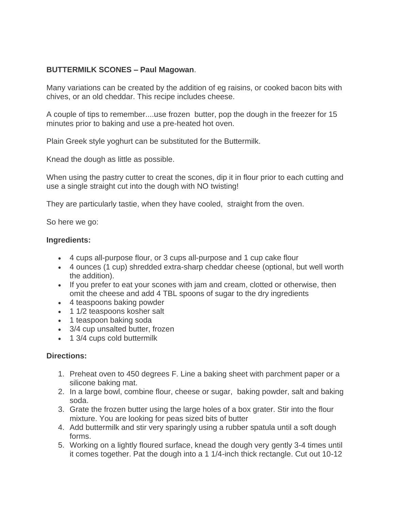## **BUTTERMILK SCONES – Paul Magowan**.

Many variations can be created by the addition of eg raisins, or cooked bacon bits with chives, or an old cheddar. This recipe includes cheese.

A couple of tips to remember....use frozen butter, pop the dough in the freezer for 15 minutes prior to baking and use a pre-heated hot oven.

Plain Greek style yoghurt can be substituted for the Buttermilk.

Knead the dough as little as possible.

When using the pastry cutter to creat the scones, dip it in flour prior to each cutting and use a single straight cut into the dough with NO twisting!

They are particularly tastie, when they have cooled, straight from the oven.

So here we go:

## **Ingredients:**

- 4 cups all-purpose flour, or 3 cups all-purpose and 1 cup cake flour
- 4 ounces (1 cup) shredded extra-sharp cheddar cheese (optional, but well worth the addition).
- If you prefer to eat your scones with jam and cream, clotted or otherwise, then omit the cheese and add 4 TBL spoons of sugar to the dry ingredients
- 4 teaspoons baking powder
- 1 1/2 teaspoons kosher salt
- 1 teaspoon baking soda
- 3/4 cup unsalted butter, frozen
- 1 3/4 cups cold buttermilk

## **Directions:**

- 1. Preheat oven to 450 degrees F. Line a baking sheet with parchment paper or a silicone baking mat.
- 2. In a large bowl, combine flour, cheese or sugar, baking powder, salt and baking soda.
- 3. Grate the frozen butter using the large holes of a box grater. Stir into the flour mixture. You are looking for peas sized bits of butter
- 4. Add buttermilk and stir very sparingly using a rubber spatula until a soft dough forms.
- 5. Working on a lightly floured surface, knead the dough very gently 3-4 times until it comes together. Pat the dough into a 1 1/4-inch thick rectangle. Cut out 10-12